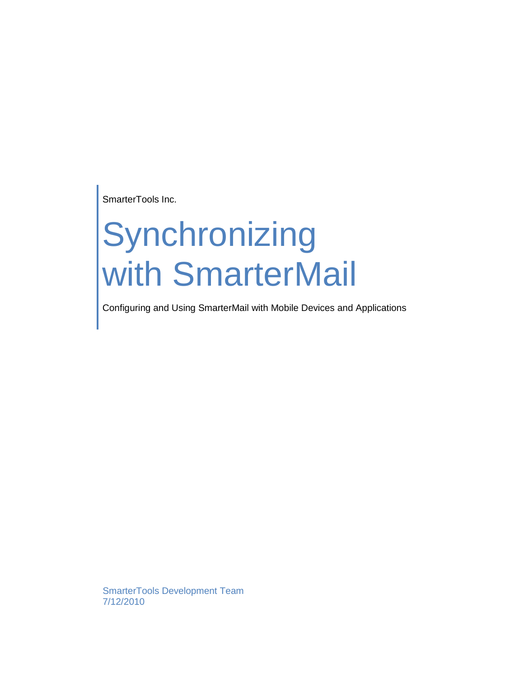SmarterTools Inc.

# Synchronizing with SmarterMail

Configuring and Using SmarterMail with Mobile Devices and Applications

SmarterTools Development Team 7/12/2010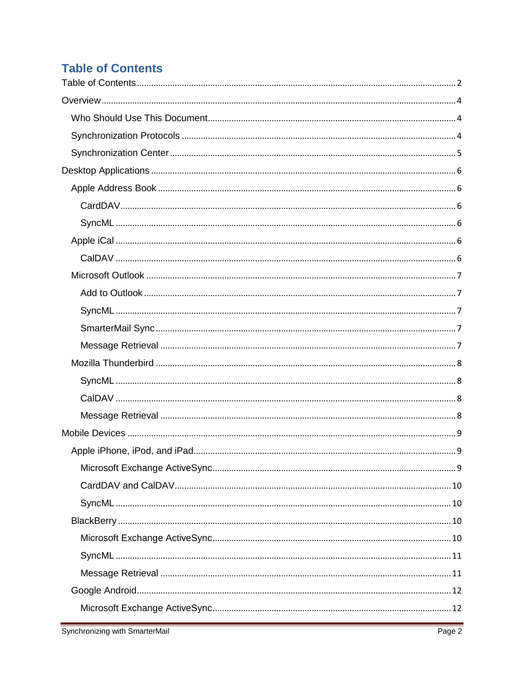# <span id="page-1-0"></span>**Table of Contents**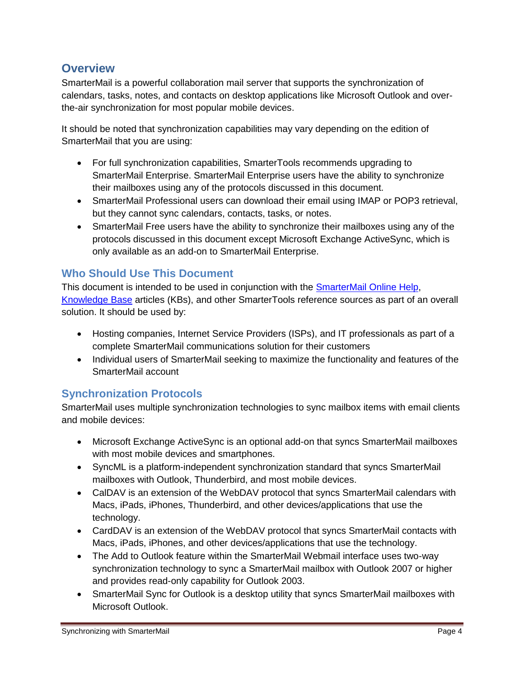# <span id="page-3-0"></span>**Overview**

SmarterMail is a powerful collaboration mail server that supports the synchronization of calendars, tasks, notes, and contacts on desktop applications like Microsoft Outlook and overthe-air synchronization for most popular mobile devices.

It should be noted that synchronization capabilities may vary depending on the edition of SmarterMail that you are using:

- For full synchronization capabilities, SmarterTools recommends upgrading to SmarterMail Enterprise. SmarterMail Enterprise users have the ability to synchronize their mailboxes using any of the protocols discussed in this document.
- SmarterMail Professional users can download their email using IMAP or POP3 retrieval, but they cannot sync calendars, contacts, tasks, or notes.
- SmarterMail Free users have the ability to synchronize their mailboxes using any of the protocols discussed in this document except Microsoft Exchange ActiveSync, which is only available as an add-on to SmarterMail Enterprise.

# <span id="page-3-1"></span>**Who Should Use This Document**

This document is intended to be used in conjunction with the [SmarterMail Online Help,](http://help.smartertools.com/SmarterMail/v7) [Knowledge Base](http://portal.smartertools.com/KB/root.aspx) articles (KBs), and other SmarterTools reference sources as part of an overall solution. It should be used by:

- Hosting companies, Internet Service Providers (ISPs), and IT professionals as part of a complete SmarterMail communications solution for their customers
- Individual users of SmarterMail seeking to maximize the functionality and features of the SmarterMail account

# <span id="page-3-2"></span>**Synchronization Protocols**

SmarterMail uses multiple synchronization technologies to sync mailbox items with email clients and mobile devices:

- Microsoft Exchange ActiveSync is an optional add-on that syncs SmarterMail mailboxes with most mobile devices and smartphones.
- SyncML is a platform-independent synchronization standard that syncs SmarterMail mailboxes with Outlook, Thunderbird, and most mobile devices.
- CalDAV is an extension of the WebDAV protocol that syncs SmarterMail calendars with Macs, iPads, iPhones, Thunderbird, and other devices/applications that use the technology.
- CardDAV is an extension of the WebDAV protocol that syncs SmarterMail contacts with Macs, iPads, iPhones, and other devices/applications that use the technology.
- The Add to Outlook feature within the SmarterMail Webmail interface uses two-way synchronization technology to sync a SmarterMail mailbox with Outlook 2007 or higher and provides read-only capability for Outlook 2003.
- SmarterMail Sync for Outlook is a desktop utility that syncs SmarterMail mailboxes with Microsoft Outlook.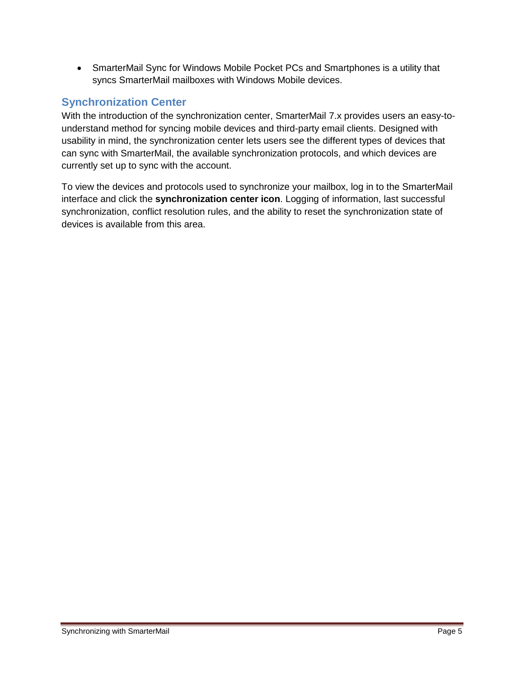SmarterMail Sync for Windows Mobile Pocket PCs and Smartphones is a utility that syncs SmarterMail mailboxes with Windows Mobile devices.

# <span id="page-4-0"></span>**Synchronization Center**

With the introduction of the synchronization center, SmarterMail 7.x provides users an easy-tounderstand method for syncing mobile devices and third-party email clients. Designed with usability in mind, the synchronization center lets users see the different types of devices that can sync with SmarterMail, the available synchronization protocols, and which devices are currently set up to sync with the account.

To view the devices and protocols used to synchronize your mailbox, log in to the SmarterMail interface and click the **synchronization center icon**. Logging of information, last successful synchronization, conflict resolution rules, and the ability to reset the synchronization state of devices is available from this area.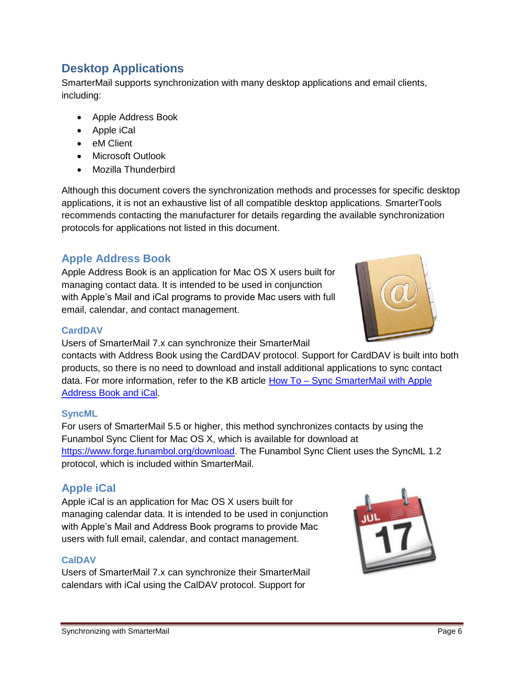# <span id="page-5-0"></span>**Desktop Applications**

SmarterMail supports synchronization with many desktop applications and email clients, including:

- Apple Address Book
- Apple iCal
- eM Client
- Microsoft Outlook
- Mozilla Thunderbird

Although this document covers the synchronization methods and processes for specific desktop applications, it is not an exhaustive list of all compatible desktop applications. SmarterTools recommends contacting the manufacturer for details regarding the available synchronization protocols for applications not listed in this document.

# <span id="page-5-1"></span>**Apple Address Book**

Apple Address Book is an application for Mac OS X users built for managing contact data. It is intended to be used in conjunction with Apple's Mail and iCal programs to provide Mac users with full email, calendar, and contact management.



#### <span id="page-5-2"></span>**CardDAV**

Users of SmarterMail 7.x can synchronize their SmarterMail

contacts with Address Book using the CardDAV protocol. Support for CardDAV is built into both products, so there is no need to download and install additional applications to sync contact data. For more information, refer to the KB article How To – [Sync SmarterMail with Apple](http://portal.smartertools.com/KB/a1205/sync-smartermail-with-apple-address-book-and-ical.aspx)  [Address Book and iCal.](http://portal.smartertools.com/KB/a1205/sync-smartermail-with-apple-address-book-and-ical.aspx)

## <span id="page-5-3"></span>**SyncML**

For users of SmarterMail 5.5 or higher, this method synchronizes contacts by using the Funambol Sync Client for Mac OS X, which is available for download at [https://www.forge.funambol.org/download.](https://www.forge.funambol.org/download) The Funambol Sync Client uses the SyncML 1.2 protocol, which is included within SmarterMail.

# <span id="page-5-4"></span>**Apple iCal**

Apple iCal is an application for Mac OS X users built for managing calendar data. It is intended to be used in conjunction with Apple's Mail and Address Book programs to provide Mac users with full email, calendar, and contact management.

## <span id="page-5-5"></span>**CalDAV**

Users of SmarterMail 7.x can synchronize their SmarterMail calendars with iCal using the CalDAV protocol. Support for

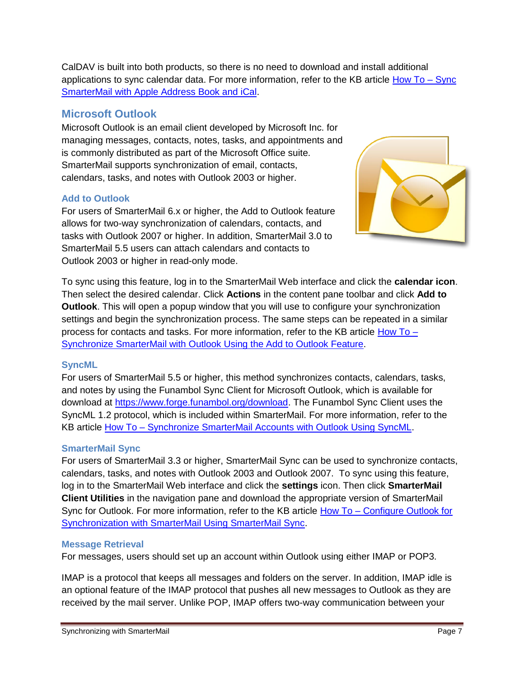CalDAV is built into both products, so there is no need to download and install additional applications to sync calendar data. For more information, refer to the KB article  $How To - Sync$ [SmarterMail with Apple Address Book and iCal.](http://portal.smartertools.com/KB/a1205/sync-smartermail-with-apple-address-book-and-ical.aspx)

# <span id="page-6-0"></span>**Microsoft Outlook**

Microsoft Outlook is an email client developed by Microsoft Inc. for managing messages, contacts, notes, tasks, and appointments and is commonly distributed as part of the Microsoft Office suite. SmarterMail supports synchronization of email, contacts, calendars, tasks, and notes with Outlook 2003 or higher.

#### <span id="page-6-1"></span>**Add to Outlook**

For users of SmarterMail 6.x or higher, the Add to Outlook feature allows for two-way synchronization of calendars, contacts, and tasks with Outlook 2007 or higher. In addition, SmarterMail 3.0 to SmarterMail 5.5 users can attach calendars and contacts to Outlook 2003 or higher in read-only mode.

To sync using this feature, log in to the SmarterMail Web interface and click the **calendar icon**. Then select the desired calendar. Click **Actions** in the content pane toolbar and click **Add to Outlook**. This will open a popup window that you will use to configure your synchronization settings and begin the synchronization process. The same steps can be repeated in a similar process for contacts and tasks. For more information, refer to the KB article [How To –](http://portal.smartertools.com/KB/a1156/synchronize-smartermail-with-outlook-using-add-to-outlook.aspx) [Synchronize SmarterMail with Outlook Using the Add to Outlook Feature.](http://portal.smartertools.com/KB/a1156/synchronize-smartermail-with-outlook-using-add-to-outlook.aspx)

#### <span id="page-6-2"></span>**SyncML**

For users of SmarterMail 5.5 or higher, this method synchronizes contacts, calendars, tasks, and notes by using the Funambol Sync Client for Microsoft Outlook, which is available for download at [https://www.forge.funambol.org/download.](https://www.forge.funambol.org/download) The Funambol Sync Client uses the SyncML 1.2 protocol, which is included within SmarterMail. For more information, refer to the KB article How To - [Synchronize SmarterMail Accounts with Outlook Using SyncML.](http://portal.smartertools.com/KB/a1154/synchronize-smartermail-accounts-with-outlook-using-syncml.aspx)

## <span id="page-6-3"></span>**SmarterMail Sync**

For users of SmarterMail 3.3 or higher, SmarterMail Sync can be used to synchronize contacts, calendars, tasks, and notes with Outlook 2003 and Outlook 2007. To sync using this feature, log in to the SmarterMail Web interface and click the **settings** icon. Then click **SmarterMail Client Utilities** in the navigation pane and download the appropriate version of SmarterMail Sync for Outlook. For more information, refer to the KB article How To – [Configure Outlook for](http://portal.smartertools.com/KB/a1083/configure-outlook-synchronization-with-smartermail.aspx)  [Synchronization with SmarterMail Using SmarterMail Sync.](http://portal.smartertools.com/KB/a1083/configure-outlook-synchronization-with-smartermail.aspx)

#### <span id="page-6-4"></span>**Message Retrieval**

For messages, users should set up an account within Outlook using either IMAP or POP3.

IMAP is a protocol that keeps all messages and folders on the server. In addition, IMAP idle is an optional feature of the IMAP protocol that pushes all new messages to Outlook as they are received by the mail server. Unlike POP, IMAP offers two-way communication between your

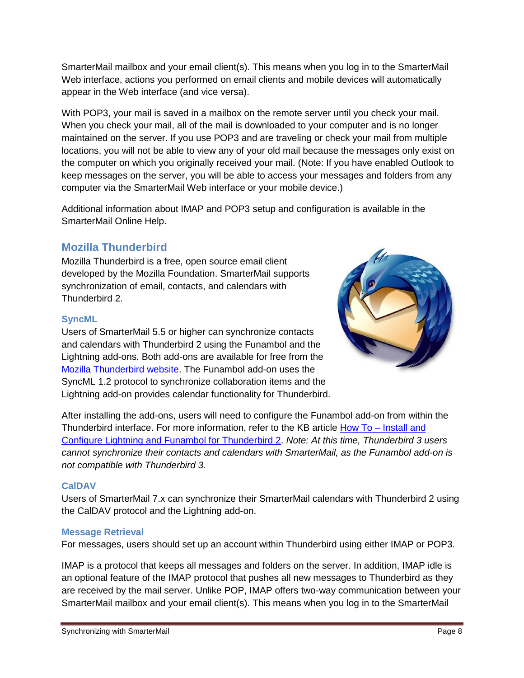SmarterMail mailbox and your email client(s). This means when you log in to the SmarterMail Web interface, actions you performed on email clients and mobile devices will automatically appear in the Web interface (and vice versa).

With POP3, your mail is saved in a mailbox on the remote server until you check your mail. When you check your mail, all of the mail is downloaded to your computer and is no longer maintained on the server. If you use POP3 and are traveling or check your mail from multiple locations, you will not be able to view any of your old mail because the messages only exist on the computer on which you originally received your mail. (Note: If you have enabled Outlook to keep messages on the server, you will be able to access your messages and folders from any computer via the SmarterMail Web interface or your mobile device.)

Additional information about IMAP and POP3 setup and configuration is available in the SmarterMail Online Help.

# <span id="page-7-0"></span>**Mozilla Thunderbird**

Mozilla Thunderbird is a free, open source email client developed by the Mozilla Foundation. SmarterMail supports synchronization of email, contacts, and calendars with Thunderbird 2.

#### <span id="page-7-1"></span>**SyncML**

Users of SmarterMail 5.5 or higher can synchronize contacts and calendars with Thunderbird 2 using the Funambol and the Lightning add-ons. Both add-ons are available for free from the [Mozilla Thunderbird website.](https://addons.mozilla.org/en-US/thunderbird) The Funambol add-on uses the SyncML 1.2 protocol to synchronize collaboration items and the Lightning add-on provides calendar functionality for Thunderbird.



After installing the add-ons, users will need to configure the Funambol add-on from within the Thunderbird interface. For more information, refer to the KB article How To – [Install and](http://portal.smartertools.com/KB/a1111/install-configure-lightning-funambol-thunderbird-2.aspx)  [Configure Lightning and Funambol for Thunderbird 2.](http://portal.smartertools.com/KB/a1111/install-configure-lightning-funambol-thunderbird-2.aspx) *Note: At this time, Thunderbird 3 users cannot synchronize their contacts and calendars with SmarterMail, as the Funambol add-on is not compatible with Thunderbird 3.*

## <span id="page-7-2"></span>**CalDAV**

Users of SmarterMail 7.x can synchronize their SmarterMail calendars with Thunderbird 2 using the CalDAV protocol and the Lightning add-on.

#### <span id="page-7-3"></span>**Message Retrieval**

For messages, users should set up an account within Thunderbird using either IMAP or POP3.

IMAP is a protocol that keeps all messages and folders on the server. In addition, IMAP idle is an optional feature of the IMAP protocol that pushes all new messages to Thunderbird as they are received by the mail server. Unlike POP, IMAP offers two-way communication between your SmarterMail mailbox and your email client(s). This means when you log in to the SmarterMail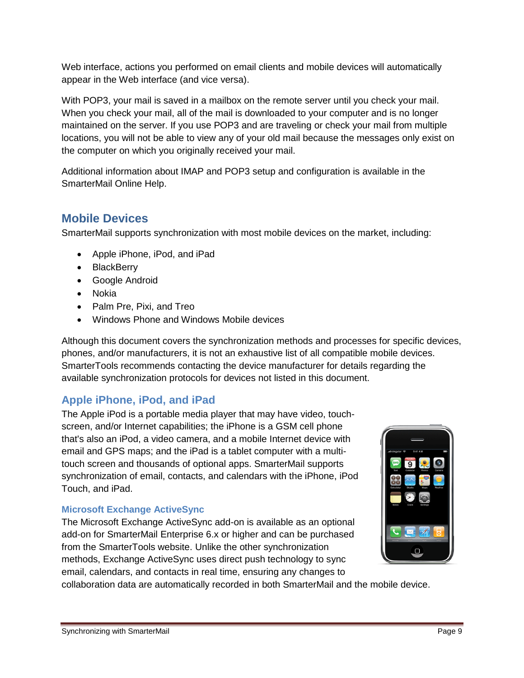Web interface, actions you performed on email clients and mobile devices will automatically appear in the Web interface (and vice versa).

With POP3, your mail is saved in a mailbox on the remote server until you check your mail. When you check your mail, all of the mail is downloaded to your computer and is no longer maintained on the server. If you use POP3 and are traveling or check your mail from multiple locations, you will not be able to view any of your old mail because the messages only exist on the computer on which you originally received your mail.

Additional information about IMAP and POP3 setup and configuration is available in the SmarterMail Online Help.

# <span id="page-8-0"></span>**Mobile Devices**

SmarterMail supports synchronization with most mobile devices on the market, including:

- Apple iPhone, iPod, and iPad
- BlackBerry
- Google Android
- Nokia
- Palm Pre, Pixi, and Treo
- Windows Phone and Windows Mobile devices

Although this document covers the synchronization methods and processes for specific devices, phones, and/or manufacturers, it is not an exhaustive list of all compatible mobile devices. SmarterTools recommends contacting the device manufacturer for details regarding the available synchronization protocols for devices not listed in this document.

# <span id="page-8-1"></span>**Apple iPhone, iPod, and iPad**

The Apple iPod is a portable media player that may have video, touchscreen, and/or Internet capabilities; the iPhone is a GSM cell phone that's also an iPod, a video camera, and a mobile Internet device with email and GPS maps; and the iPad is a tablet computer with a multitouch screen and thousands of optional apps. SmarterMail supports synchronization of email, contacts, and calendars with the iPhone, iPod Touch, and iPad.

# <span id="page-8-2"></span>**Microsoft Exchange ActiveSync**

The Microsoft Exchange ActiveSync add-on is available as an optional add-on for SmarterMail Enterprise 6.x or higher and can be purchased from the SmarterTools website. Unlike the other synchronization methods, Exchange ActiveSync uses direct push technology to sync email, calendars, and contacts in real time, ensuring any changes to



collaboration data are automatically recorded in both SmarterMail and the mobile device.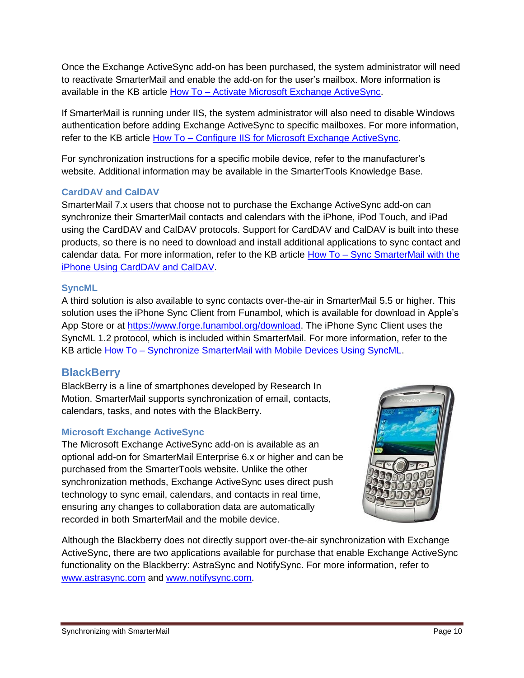Once the Exchange ActiveSync add-on has been purchased, the system administrator will need to reactivate SmarterMail and enable the add-on for the user's mailbox. More information is available in the KB article How To – [Activate Microsoft Exchange ActiveSync.](http://portal.smartertools.com/KB/a1062/activate-microsoft-exchange-activesync.aspx)

If SmarterMail is running under IIS, the system administrator will also need to disable Windows authentication before adding Exchange ActiveSync to specific mailboxes. For more information, refer to the KB article How To – [Configure IIS for Microsoft Exchange ActiveSync.](http://portal.smartertools.com/KB/a1077/configure-iis-for-microsoft-exchange-activesync.aspx)

For synchronization instructions for a specific mobile device, refer to the manufacturer's website. Additional information may be available in the SmarterTools Knowledge Base.

## <span id="page-9-0"></span>**CardDAV and CalDAV**

SmarterMail 7.x users that choose not to purchase the Exchange ActiveSync add-on can synchronize their SmarterMail contacts and calendars with the iPhone, iPod Touch, and iPad using the CardDAV and CalDAV protocols. Support for CardDAV and CalDAV is built into these products, so there is no need to download and install additional applications to sync contact and calendar data. For more information, refer to the KB article How To – [Sync SmarterMail with the](http://portal.smartertools.com/KB/a1203/sync-smartermail-with-the-iphone-using-carddav-and-caldav.aspx)  [iPhone Using CardDAV and CalDAV.](http://portal.smartertools.com/KB/a1203/sync-smartermail-with-the-iphone-using-carddav-and-caldav.aspx)

#### <span id="page-9-1"></span>**SyncML**

A third solution is also available to sync contacts over-the-air in SmarterMail 5.5 or higher. This solution uses the iPhone Sync Client from Funambol, which is available for download in Apple's App Store or at [https://www.forge.funambol.org/download.](https://www.forge.funambol.org/download) The iPhone Sync Client uses the SyncML 1.2 protocol, which is included within SmarterMail. For more information, refer to the KB article How To – [Synchronize SmarterMail with Mobile Devices Using SyncML.](http://portal.smartertools.com/KB/a1155/synchronize-smartermail-with-mobile-devices-using-syncml.aspx)

# <span id="page-9-2"></span>**BlackBerry**

BlackBerry is a line of smartphones developed by Research In Motion. SmarterMail supports synchronization of email, contacts, calendars, tasks, and notes with the BlackBerry.

## <span id="page-9-3"></span>**Microsoft Exchange ActiveSync**

The Microsoft Exchange ActiveSync add-on is available as an optional add-on for SmarterMail Enterprise 6.x or higher and can be purchased from the SmarterTools website. Unlike the other synchronization methods, Exchange ActiveSync uses direct push technology to sync email, calendars, and contacts in real time, ensuring any changes to collaboration data are automatically recorded in both SmarterMail and the mobile device.



Although the Blackberry does not directly support over-the-air synchronization with Exchange ActiveSync, there are two applications available for purchase that enable Exchange ActiveSync functionality on the Blackberry: AstraSync and NotifySync. For more information, refer to [www.astrasync.com](http://www.astrasync.com/) and [www.notifysync.com.](http://www.notifysync.com/)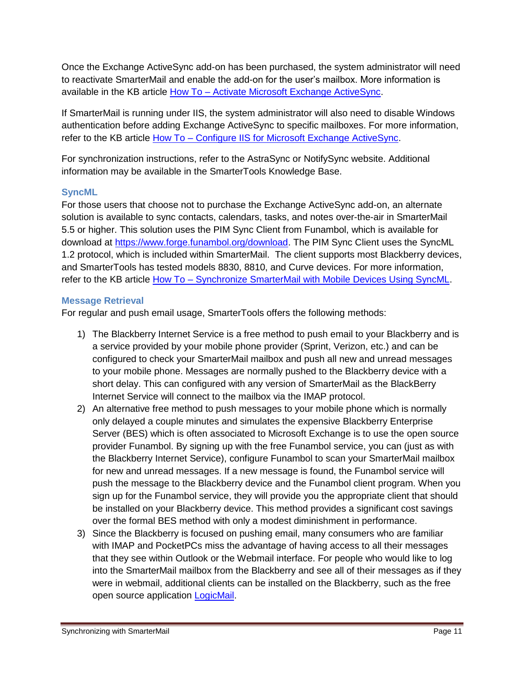Once the Exchange ActiveSync add-on has been purchased, the system administrator will need to reactivate SmarterMail and enable the add-on for the user's mailbox. More information is available in the KB article How To – [Activate Microsoft Exchange ActiveSync.](http://portal.smartertools.com/KB/a1062/activate-microsoft-exchange-activesync.aspx)

If SmarterMail is running under IIS, the system administrator will also need to disable Windows authentication before adding Exchange ActiveSync to specific mailboxes. For more information, refer to the KB article How To – [Configure IIS for Microsoft Exchange ActiveSync.](http://portal.smartertools.com/KB/a1077/configure-iis-for-microsoft-exchange-activesync.aspx)

For synchronization instructions, refer to the AstraSync or NotifySync website. Additional information may be available in the SmarterTools Knowledge Base.

#### <span id="page-10-0"></span>**SyncML**

For those users that choose not to purchase the Exchange ActiveSync add-on, an alternate solution is available to sync contacts, calendars, tasks, and notes over-the-air in SmarterMail 5.5 or higher. This solution uses the PIM Sync Client from Funambol, which is available for download at [https://www.forge.funambol.org/download.](https://www.forge.funambol.org/download) The PIM Sync Client uses the SyncML 1.2 protocol, which is included within SmarterMail. The client supports most Blackberry devices, and SmarterTools has tested models 8830, 8810, and Curve devices. For more information, refer to the KB article How To - [Synchronize SmarterMail with Mobile Devices Using SyncML.](http://portal.smartertools.com/KB/a1155/synchronize-smartermail-with-mobile-devices-using-syncml.aspx)

#### <span id="page-10-1"></span>**Message Retrieval**

For regular and push email usage, SmarterTools offers the following methods:

- 1) The Blackberry Internet Service is a free method to push email to your Blackberry and is a service provided by your mobile phone provider (Sprint, Verizon, etc.) and can be configured to check your SmarterMail mailbox and push all new and unread messages to your mobile phone. Messages are normally pushed to the Blackberry device with a short delay. This can configured with any version of SmarterMail as the BlackBerry Internet Service will connect to the mailbox via the IMAP protocol.
- 2) An alternative free method to push messages to your mobile phone which is normally only delayed a couple minutes and simulates the expensive Blackberry Enterprise Server (BES) which is often associated to Microsoft Exchange is to use the open source provider Funambol. By signing up with the free Funambol service, you can (just as with the Blackberry Internet Service), configure Funambol to scan your SmarterMail mailbox for new and unread messages. If a new message is found, the Funambol service will push the message to the Blackberry device and the Funambol client program. When you sign up for the Funambol service, they will provide you the appropriate client that should be installed on your Blackberry device. This method provides a significant cost savings over the formal BES method with only a modest diminishment in performance.
- 3) Since the Blackberry is focused on pushing email, many consumers who are familiar with IMAP and PocketPCs miss the advantage of having access to all their messages that they see within Outlook or the Webmail interface. For people who would like to log into the SmarterMail mailbox from the Blackberry and see all of their messages as if they were in webmail, additional clients can be installed on the Blackberry, such as the free open source application [LogicMail.](http://www.logicprobe.org/proj/logicmail)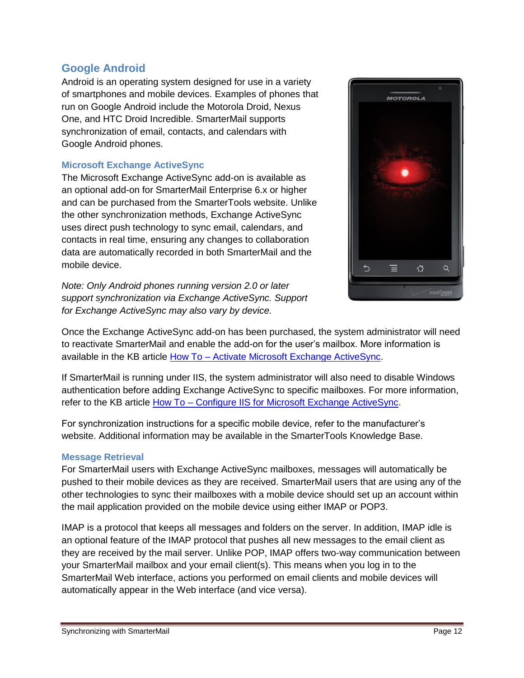# <span id="page-11-0"></span>**Google Android**

Android is an operating system designed for use in a variety of smartphones and mobile devices. Examples of phones that run on Google Android include the Motorola Droid, Nexus One, and HTC Droid Incredible. SmarterMail supports synchronization of email, contacts, and calendars with Google Android phones.

#### <span id="page-11-1"></span>**Microsoft Exchange ActiveSync**

The Microsoft Exchange ActiveSync add-on is available as an optional add-on for SmarterMail Enterprise 6.x or higher and can be purchased from the SmarterTools website. Unlike the other synchronization methods, Exchange ActiveSync uses direct push technology to sync email, calendars, and contacts in real time, ensuring any changes to collaboration data are automatically recorded in both SmarterMail and the mobile device.

*Note: Only Android phones running version 2.0 or later support synchronization via Exchange ActiveSync. Support for Exchange ActiveSync may also vary by device.*



Once the Exchange ActiveSync add-on has been purchased, the system administrator will need to reactivate SmarterMail and enable the add-on for the user's mailbox. More information is available in the KB article How To – [Activate Microsoft Exchange ActiveSync.](http://portal.smartertools.com/KB/a1062/activate-microsoft-exchange-activesync.aspx)

If SmarterMail is running under IIS, the system administrator will also need to disable Windows authentication before adding Exchange ActiveSync to specific mailboxes. For more information, refer to the KB article How To – [Configure IIS for Microsoft Exchange ActiveSync.](http://portal.smartertools.com/KB/a1077/configure-iis-for-microsoft-exchange-activesync.aspx)

For synchronization instructions for a specific mobile device, refer to the manufacturer's website. Additional information may be available in the SmarterTools Knowledge Base.

#### <span id="page-11-2"></span>**Message Retrieval**

For SmarterMail users with Exchange ActiveSync mailboxes, messages will automatically be pushed to their mobile devices as they are received. SmarterMail users that are using any of the other technologies to sync their mailboxes with a mobile device should set up an account within the mail application provided on the mobile device using either IMAP or POP3.

IMAP is a protocol that keeps all messages and folders on the server. In addition, IMAP idle is an optional feature of the IMAP protocol that pushes all new messages to the email client as they are received by the mail server. Unlike POP, IMAP offers two-way communication between your SmarterMail mailbox and your email client(s). This means when you log in to the SmarterMail Web interface, actions you performed on email clients and mobile devices will automatically appear in the Web interface (and vice versa).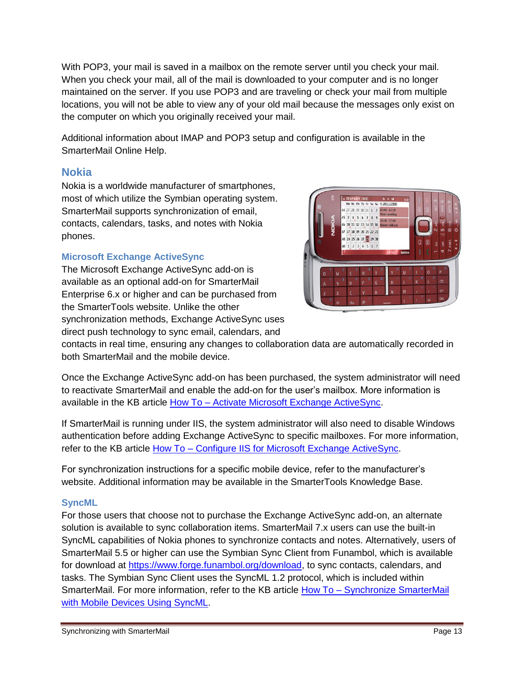With POP3, your mail is saved in a mailbox on the remote server until you check your mail. When you check your mail, all of the mail is downloaded to your computer and is no longer maintained on the server. If you use POP3 and are traveling or check your mail from multiple locations, you will not be able to view any of your old mail because the messages only exist on the computer on which you originally received your mail.

Additional information about IMAP and POP3 setup and configuration is available in the SmarterMail Online Help.

# <span id="page-12-0"></span>**Nokia**

Nokia is a worldwide manufacturer of smartphones, most of which utilize the Symbian operating system. SmarterMail supports synchronization of email, contacts, calendars, tasks, and notes with Nokia phones.

## <span id="page-12-1"></span>**Microsoft Exchange ActiveSync**

The Microsoft Exchange ActiveSync add-on is available as an optional add-on for SmarterMail Enterprise 6.x or higher and can be purchased from the SmarterTools website. Unlike the other synchronization methods, Exchange ActiveSync uses direct push technology to sync email, calendars, and



contacts in real time, ensuring any changes to collaboration data are automatically recorded in both SmarterMail and the mobile device.

Once the Exchange ActiveSync add-on has been purchased, the system administrator will need to reactivate SmarterMail and enable the add-on for the user's mailbox. More information is available in the KB article How To – [Activate Microsoft Exchange ActiveSync.](http://portal.smartertools.com/KB/a1062/activate-microsoft-exchange-activesync.aspx)

If SmarterMail is running under IIS, the system administrator will also need to disable Windows authentication before adding Exchange ActiveSync to specific mailboxes. For more information, refer to the KB article How To – [Configure IIS for Microsoft Exchange ActiveSync.](http://portal.smartertools.com/KB/a1077/configure-iis-for-microsoft-exchange-activesync.aspx)

For synchronization instructions for a specific mobile device, refer to the manufacturer's website. Additional information may be available in the SmarterTools Knowledge Base.

#### <span id="page-12-2"></span>**SyncML**

For those users that choose not to purchase the Exchange ActiveSync add-on, an alternate solution is available to sync collaboration items. SmarterMail 7.x users can use the built-in SyncML capabilities of Nokia phones to synchronize contacts and notes. Alternatively, users of SmarterMail 5.5 or higher can use the Symbian Sync Client from Funambol, which is available for download at [https://www.forge.funambol.org/download,](https://www.forge.funambol.org/download) to sync contacts, calendars, and tasks. The Symbian Sync Client uses the SyncML 1.2 protocol, which is included within SmarterMail. For more information, refer to the KB article How To – [Synchronize SmarterMail](http://portal.smartertools.com/KB/a1155/synchronize-smartermail-with-mobile-devices-using-syncml.aspx)  [with Mobile Devices Using SyncML.](http://portal.smartertools.com/KB/a1155/synchronize-smartermail-with-mobile-devices-using-syncml.aspx)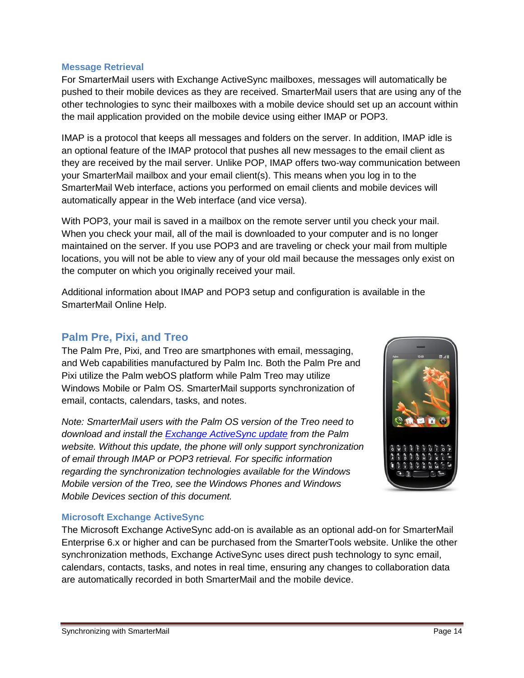#### <span id="page-13-0"></span>**Message Retrieval**

For SmarterMail users with Exchange ActiveSync mailboxes, messages will automatically be pushed to their mobile devices as they are received. SmarterMail users that are using any of the other technologies to sync their mailboxes with a mobile device should set up an account within the mail application provided on the mobile device using either IMAP or POP3.

IMAP is a protocol that keeps all messages and folders on the server. In addition, IMAP idle is an optional feature of the IMAP protocol that pushes all new messages to the email client as they are received by the mail server. Unlike POP, IMAP offers two-way communication between your SmarterMail mailbox and your email client(s). This means when you log in to the SmarterMail Web interface, actions you performed on email clients and mobile devices will automatically appear in the Web interface (and vice versa).

With POP3, your mail is saved in a mailbox on the remote server until you check your mail. When you check your mail, all of the mail is downloaded to your computer and is no longer maintained on the server. If you use POP3 and are traveling or check your mail from multiple locations, you will not be able to view any of your old mail because the messages only exist on the computer on which you originally received your mail.

Additional information about IMAP and POP3 setup and configuration is available in the SmarterMail Online Help.

### <span id="page-13-1"></span>**Palm Pre, Pixi, and Treo**

The Palm Pre, Pixi, and Treo are smartphones with email, messaging, and Web capabilities manufactured by Palm Inc. Both the Palm Pre and Pixi utilize the Palm webOS platform while Palm Treo may utilize Windows Mobile or Palm OS. SmarterMail supports synchronization of email, contacts, calendars, tasks, and notes.

*Note: SmarterMail users with the Palm OS version of the Treo need to download and install the [Exchange ActiveSync update](http://kb.palm.com/wps/portal/kb/common/article/9387_en.html) from the Palm website. Without this update, the phone will only support synchronization of email through IMAP or POP3 retrieval. For specific information regarding the synchronization technologies available for the Windows Mobile version of the Treo, see the Windows Phones and Windows Mobile Devices section of this document.*



#### <span id="page-13-2"></span>**Microsoft Exchange ActiveSync**

The Microsoft Exchange ActiveSync add-on is available as an optional add-on for SmarterMail Enterprise 6.x or higher and can be purchased from the SmarterTools website. Unlike the other synchronization methods, Exchange ActiveSync uses direct push technology to sync email, calendars, contacts, tasks, and notes in real time, ensuring any changes to collaboration data are automatically recorded in both SmarterMail and the mobile device.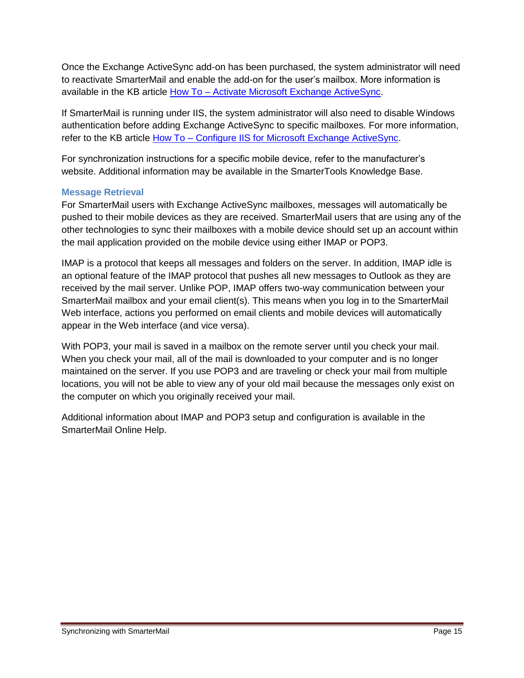Once the Exchange ActiveSync add-on has been purchased, the system administrator will need to reactivate SmarterMail and enable the add-on for the user's mailbox. More information is available in the KB article How To – [Activate Microsoft Exchange ActiveSync.](http://portal.smartertools.com/KB/a1062/activate-microsoft-exchange-activesync.aspx)

If SmarterMail is running under IIS, the system administrator will also need to disable Windows authentication before adding Exchange ActiveSync to specific mailboxes. For more information, refer to the KB article How To – [Configure IIS for Microsoft Exchange ActiveSync.](http://portal.smartertools.com/KB/a1077/configure-iis-for-microsoft-exchange-activesync.aspx)

For synchronization instructions for a specific mobile device, refer to the manufacturer's website. Additional information may be available in the SmarterTools Knowledge Base.

#### <span id="page-14-0"></span>**Message Retrieval**

For SmarterMail users with Exchange ActiveSync mailboxes, messages will automatically be pushed to their mobile devices as they are received. SmarterMail users that are using any of the other technologies to sync their mailboxes with a mobile device should set up an account within the mail application provided on the mobile device using either IMAP or POP3.

IMAP is a protocol that keeps all messages and folders on the server. In addition, IMAP idle is an optional feature of the IMAP protocol that pushes all new messages to Outlook as they are received by the mail server. Unlike POP, IMAP offers two-way communication between your SmarterMail mailbox and your email client(s). This means when you log in to the SmarterMail Web interface, actions you performed on email clients and mobile devices will automatically appear in the Web interface (and vice versa).

With POP3, your mail is saved in a mailbox on the remote server until you check your mail. When you check your mail, all of the mail is downloaded to your computer and is no longer maintained on the server. If you use POP3 and are traveling or check your mail from multiple locations, you will not be able to view any of your old mail because the messages only exist on the computer on which you originally received your mail.

Additional information about IMAP and POP3 setup and configuration is available in the SmarterMail Online Help.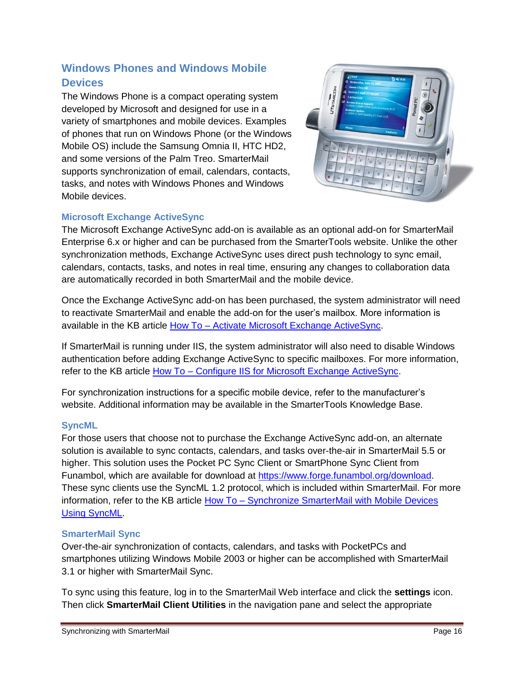# <span id="page-15-0"></span>**Windows Phones and Windows Mobile Devices**

The Windows Phone is a compact operating system developed by Microsoft and designed for use in a variety of smartphones and mobile devices. Examples of phones that run on Windows Phone (or the Windows Mobile OS) include the Samsung Omnia II, HTC HD2, and some versions of the Palm Treo. SmarterMail supports synchronization of email, calendars, contacts, tasks, and notes with Windows Phones and Windows Mobile devices.



# <span id="page-15-1"></span>**Microsoft Exchange ActiveSync**

The Microsoft Exchange ActiveSync add-on is available as an optional add-on for SmarterMail Enterprise 6.x or higher and can be purchased from the SmarterTools website. Unlike the other synchronization methods, Exchange ActiveSync uses direct push technology to sync email, calendars, contacts, tasks, and notes in real time, ensuring any changes to collaboration data are automatically recorded in both SmarterMail and the mobile device.

Once the Exchange ActiveSync add-on has been purchased, the system administrator will need to reactivate SmarterMail and enable the add-on for the user's mailbox. More information is available in the KB article How To – [Activate Microsoft Exchange ActiveSync.](http://portal.smartertools.com/KB/a1062/activate-microsoft-exchange-activesync.aspx)

If SmarterMail is running under IIS, the system administrator will also need to disable Windows authentication before adding Exchange ActiveSync to specific mailboxes. For more information, refer to the KB article How To – [Configure IIS for Microsoft Exchange ActiveSync.](http://portal.smartertools.com/KB/a1077/configure-iis-for-microsoft-exchange-activesync.aspx)

For synchronization instructions for a specific mobile device, refer to the manufacturer's website. Additional information may be available in the SmarterTools Knowledge Base.

## <span id="page-15-2"></span>**SyncML**

For those users that choose not to purchase the Exchange ActiveSync add-on, an alternate solution is available to sync contacts, calendars, and tasks over-the-air in SmarterMail 5.5 or higher. This solution uses the Pocket PC Sync Client or SmartPhone Sync Client from Funambol, which are available for download at [https://www.forge.funambol.org/download.](https://www.forge.funambol.org/download) These sync clients use the SyncML 1.2 protocol, which is included within SmarterMail. For more information, refer to the KB article How To – [Synchronize SmarterMail with Mobile Devices](http://portal.smartertools.com/KB/a1155/synchronize-smartermail-with-mobile-devices-using-syncml.aspx)  [Using SyncML.](http://portal.smartertools.com/KB/a1155/synchronize-smartermail-with-mobile-devices-using-syncml.aspx)

#### <span id="page-15-3"></span>**SmarterMail Sync**

Over-the-air synchronization of contacts, calendars, and tasks with PocketPCs and smartphones utilizing Windows Mobile 2003 or higher can be accomplished with SmarterMail 3.1 or higher with SmarterMail Sync.

To sync using this feature, log in to the SmarterMail Web interface and click the **settings** icon. Then click **SmarterMail Client Utilities** in the navigation pane and select the appropriate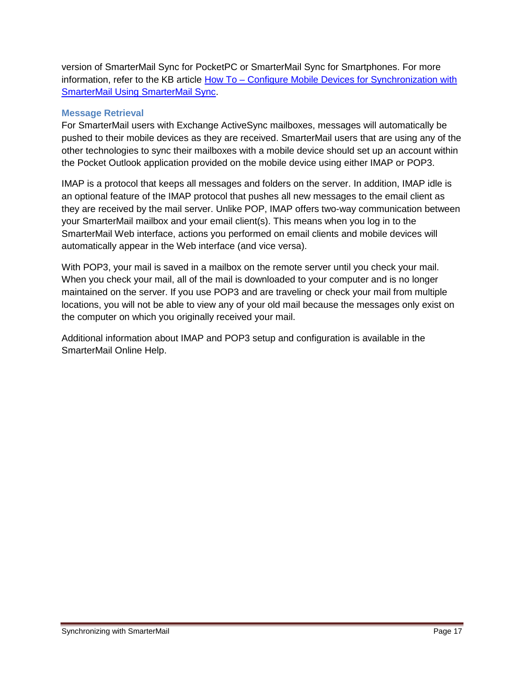version of SmarterMail Sync for PocketPC or SmarterMail Sync for Smartphones. For more information, refer to the KB article How To - Configure Mobile Devices for Synchronization with [SmarterMail Using SmarterMail Sync.](http://portal.smartertools.com/KB/a1081/configure-mobile-devices-synchronization-with-smartermail.aspx)

#### <span id="page-16-0"></span>**Message Retrieval**

For SmarterMail users with Exchange ActiveSync mailboxes, messages will automatically be pushed to their mobile devices as they are received. SmarterMail users that are using any of the other technologies to sync their mailboxes with a mobile device should set up an account within the Pocket Outlook application provided on the mobile device using either IMAP or POP3.

IMAP is a protocol that keeps all messages and folders on the server. In addition, IMAP idle is an optional feature of the IMAP protocol that pushes all new messages to the email client as they are received by the mail server. Unlike POP, IMAP offers two-way communication between your SmarterMail mailbox and your email client(s). This means when you log in to the SmarterMail Web interface, actions you performed on email clients and mobile devices will automatically appear in the Web interface (and vice versa).

With POP3, your mail is saved in a mailbox on the remote server until you check your mail. When you check your mail, all of the mail is downloaded to your computer and is no longer maintained on the server. If you use POP3 and are traveling or check your mail from multiple locations, you will not be able to view any of your old mail because the messages only exist on the computer on which you originally received your mail.

Additional information about IMAP and POP3 setup and configuration is available in the SmarterMail Online Help.